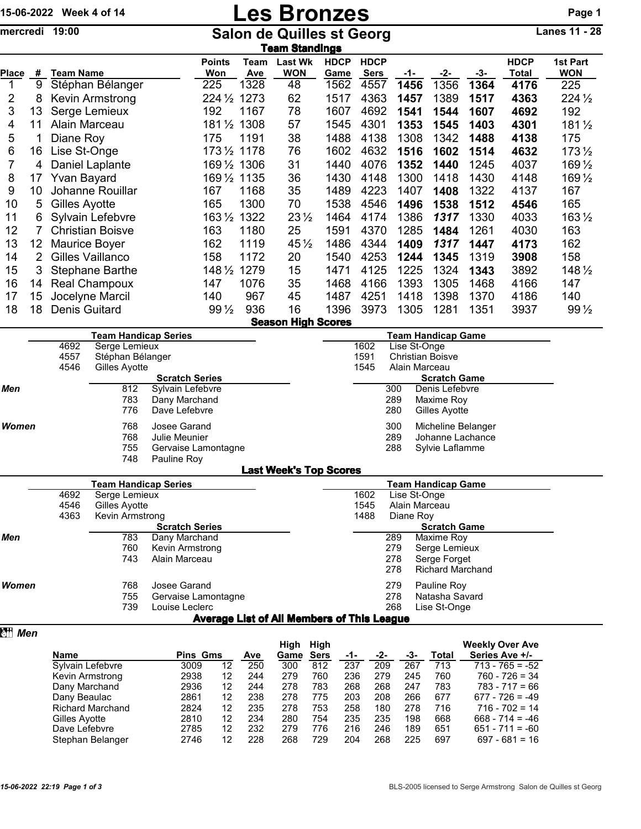## 15-06-2022 Week 4 of 14 **Les Bronzes** Page 1

mercredi 19:00 Salon de Quilles st Georg Lanes 11 - 28

|       | <b>ieam Standings</b> |                         |                      |             |                              |                     |                            |      |      |       |                      |                        |
|-------|-----------------------|-------------------------|----------------------|-------------|------------------------------|---------------------|----------------------------|------|------|-------|----------------------|------------------------|
| Place | #                     | Team Name               | <b>Points</b><br>Won | Team<br>Ave | <b>Last Wk</b><br><b>WON</b> | <b>HDCP</b><br>Game | <b>HDCP</b><br><b>Sers</b> | -1-  | -2-  | $-3-$ | <b>HDCP</b><br>Total | 1st Part<br><b>WON</b> |
|       | 9                     | Stéphan Bélanger        | 225                  | 1328        | 48                           | 1562                | 4557                       | 1456 | 1356 | 1364  | 4176                 | 225                    |
| 2     | 8                     | Kevin Armstrong         | $224\frac{1}{2}$     | 1273        | 62                           | 1517                | 4363                       | 1457 | 1389 | 1517  | 4363                 | $224\frac{1}{2}$       |
| 3     | 13                    | Serge Lemieux           | 192                  | 1167        | 78                           | 1607                | 4692                       | 1541 | 1544 | 1607  | 4692                 | 192                    |
| 4     | 11                    | Alain Marceau           | $181\frac{1}{2}$     | 1308        | 57                           | 1545                | 4301                       | 1353 | 1545 | 1403  | 4301                 | $181\frac{1}{2}$       |
| 5     |                       | Diane Roy               | 175                  | 1191        | 38                           | 1488                | 4138                       | 1308 | 1342 | 1488  | 4138                 | 175                    |
| 6     | 16                    | Lise St-Onge            | $173\frac{1}{2}$     | 1178        | 76                           | 1602                | 4632                       | 1516 | 1602 | 1514  | 4632                 | $173\frac{1}{2}$       |
| 7     | 4                     | Daniel Laplante         | 169 1/2 1306         |             | 31                           | 1440                | 4076                       | 1352 | 1440 | 1245  | 4037                 | 169 1/2                |
| 8     | 17                    | Yvan Bayard             | $169\,\frac{1}{2}$   | 1135        | 36                           | 1430                | 4148                       | 1300 | 1418 | 1430  | 4148                 | 169 1/2                |
| 9     | 10                    | Johanne Rouillar        | 167                  | 1168        | 35                           | 1489                | 4223                       | 1407 | 1408 | 1322  | 4137                 | 167                    |
| 10    | 5                     | Gilles Ayotte           | 165                  | 1300        | 70                           | 1538                | 4546                       | 1496 | 1538 | 1512  | 4546                 | 165                    |
| 11    | 6                     | Sylvain Lefebvre        | $163\,\frac{1}{2}$   | 1322        | $23\frac{1}{2}$              | 1464                | 4174                       | 1386 | 1317 | 1330  | 4033                 | $163\frac{1}{2}$       |
| 12    |                       | <b>Christian Boisve</b> | 163                  | 1180        | 25                           | 1591                | 4370                       | 1285 | 1484 | 1261  | 4030                 | 163                    |
| 13    | 12                    | Maurice Boyer           | 162                  | 1119        | $45\frac{1}{2}$              | 1486                | 4344                       | 1409 | 1317 | 1447  | 4173                 | 162                    |
| 14    | 2                     | Gilles Vaillanco        | 158                  | 1172        | 20                           | 1540                | 4253                       | 1244 | 1345 | 1319  | 3908                 | 158                    |
| 15    | 3                     | <b>Stephane Barthe</b>  | $148\frac{1}{2}$     | 1279        | 15                           | 1471                | 4125                       | 1225 | 1324 | 1343  | 3892                 | 148 1/2                |
| 16    | 14                    | <b>Real Champoux</b>    | 147                  | 1076        | 35                           | 1468                | 4166                       | 1393 | 1305 | 1468  | 4166                 | 147                    |
| 17    | 15                    | Jocelyne Marcil         | 140                  | 967         | 45                           | 1487                | 4251                       | 1418 | 1398 | 1370  | 4186                 | 140                    |
| 18    | 18                    | Denis Guitard           | $99\frac{1}{2}$      | 936         | 16                           | 1396                | 3973                       | 1305 | 1281 | 1351  | 3937                 | $99\frac{1}{2}$        |
|       |                       |                         |                      |             | <b>Season High Scores</b>    |                     |                            |      |      |       |                      |                        |

|       |      | Team Handicap Series |                       |      |     | Team Handicap Game      |  |
|-------|------|----------------------|-----------------------|------|-----|-------------------------|--|
|       | 4692 | Serge Lemieux        |                       | 1602 |     | Lise St-Onge            |  |
|       | 4557 | Stéphan Bélanger     |                       | 1591 |     | <b>Christian Boisve</b> |  |
|       | 4546 | Gilles Ayotte        |                       | 1545 |     | Alain Marceau           |  |
|       |      |                      | <b>Scratch Series</b> |      |     | <b>Scratch Game</b>     |  |
| Men   |      | 812                  | Sylvain Lefebvre      |      | 300 | Denis Lefebvre          |  |
|       |      | 783                  | Dany Marchand         |      | 289 | Maxime Roy              |  |
|       |      | 776                  | Dave Lefebvre         |      | 280 | Gilles Ayotte           |  |
| Women |      | 768                  | Josee Garand          |      | 300 | Micheline Belanger      |  |
|       |      | 768                  | Julie Meunier         |      | 289 | Johanne Lachance        |  |
|       |      | 755                  | Gervaise Lamontagne   |      | 288 | Sylvie Laflamme         |  |
|       |      | 748                  | Pauline Roy           |      |     |                         |  |
|       |      |                      |                       |      |     |                         |  |

| <b>Last Week's Top Scores</b> |
|-------------------------------|
|-------------------------------|

|              |      | <b>Team Handicap Series</b> |                       | <b>Team Handicap Game</b>                         |               |                         |  |  |  |  |
|--------------|------|-----------------------------|-----------------------|---------------------------------------------------|---------------|-------------------------|--|--|--|--|
|              | 4692 | Serge Lemieux               |                       | 1602                                              |               | Lise St-Onge            |  |  |  |  |
|              | 4546 | Gilles Ayotte               |                       | 1545                                              | Alain Marceau |                         |  |  |  |  |
|              | 4363 | Kevin Armstrong             | 1488                  |                                                   | Diane Roy     |                         |  |  |  |  |
|              |      |                             | <b>Scratch Series</b> |                                                   |               | <b>Scratch Game</b>     |  |  |  |  |
| Men          |      | 783                         | Dany Marchand         |                                                   | 289           | Maxime Roy              |  |  |  |  |
|              |      | 760                         | Kevin Armstrong       |                                                   | 279           | Serge Lemieux           |  |  |  |  |
|              |      | 743                         | Alain Marceau         |                                                   | 278           | Serge Forget            |  |  |  |  |
|              |      |                             |                       |                                                   | 278           | <b>Richard Marchand</b> |  |  |  |  |
| <b>Women</b> |      | 768                         | Josee Garand          |                                                   | 279           | Pauline Roy             |  |  |  |  |
|              |      | 755                         | Gervaise Lamontagne   |                                                   | 278           | Natasha Savard          |  |  |  |  |
|              |      | 739                         | Louise Leclerc        |                                                   | 268           | Lise St-Onge            |  |  |  |  |
|              |      |                             |                       | <b>Average List of All Members of This League</b> |               |                         |  |  |  |  |

## **z** *Men*

|                         |                 |    |     | High | High        |     |     |     |       | <b>Weekly Over Ave</b> |
|-------------------------|-----------------|----|-----|------|-------------|-----|-----|-----|-------|------------------------|
| <b>Name</b>             | <b>Pins Gms</b> |    | Ave | Game | <b>Sers</b> | -1- | -2- | -3- | Total | Series Ave +/-         |
| Sylvain Lefebvre        | 3009            | 12 | 250 | 300  | 812         | 237 | 209 | 267 | 713   | $713 - 765 = -52$      |
| Kevin Armstrong         | 2938            | 12 | 244 | 279  | 760         | 236 | 279 | 245 | 760   | $760 - 726 = 34$       |
| Dany Marchand           | 2936            | 12 | 244 | 278  | 783         | 268 | 268 | 247 | 783   | $783 - 717 = 66$       |
| Dany Beaulac            | 2861            | 12 | 238 | 278  | 775         | 203 | 208 | 266 | 677   | $677 - 726 = -49$      |
| <b>Richard Marchand</b> | 2824            | 12 | 235 | 278  | 753         | 258 | 180 | 278 | 716   | $716 - 702 = 14$       |
| Gilles Ayotte           | 2810            | 12 | 234 | 280  | 754         | 235 | 235 | 198 | 668   | $668 - 714 = -46$      |
| Dave Lefebvre           | 2785            | 12 | 232 | 279  | 776         | 216 | 246 | 189 | 651   | $651 - 711 = -60$      |
| Stephan Belanger        | 2746            | 12 | 228 | 268  | 729         | 204 | 268 | 225 | 697   | $697 - 681 = 16$       |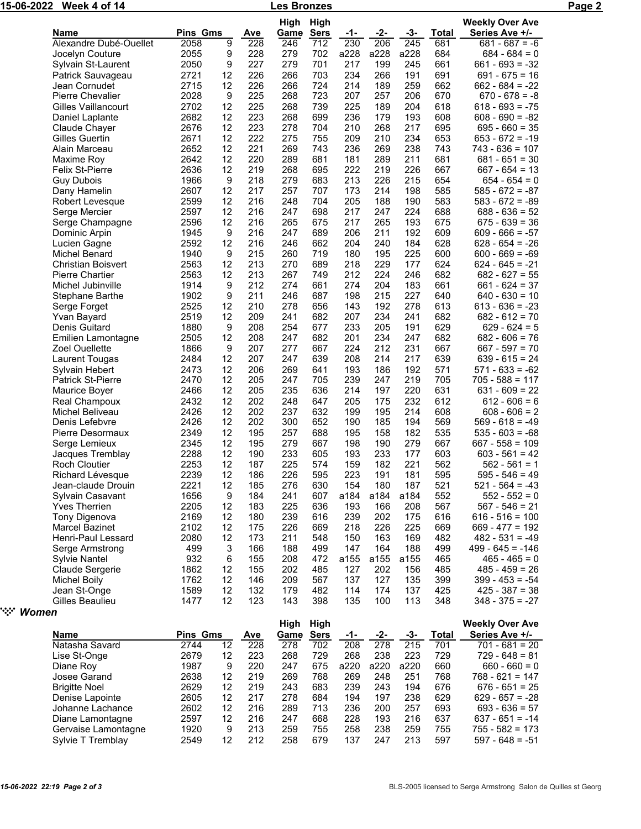| 15-06-2022               | Week 4 of 14                             |                  |                |                   | Les Bronzes        |                    |                   |                   |              |                     |                                          | Page 2 |
|--------------------------|------------------------------------------|------------------|----------------|-------------------|--------------------|--------------------|-------------------|-------------------|--------------|---------------------|------------------------------------------|--------|
|                          |                                          |                  |                |                   | High               | High               |                   |                   |              |                     | <b>Weekly Over Ave</b>                   |        |
|                          | <b>Name</b><br>Alexandre Dubé-Ouellet    | Pins Gms<br>2058 | $\overline{9}$ | <u>Ave</u><br>228 | <b>Game</b><br>246 | <b>Sers</b><br>712 | <u>-1-</u><br>230 | <u>-2-</u><br>206 | $-3-$<br>245 | <b>Total</b><br>681 | Series Ave +/-<br>$681 - 687 = -6$       |        |
|                          | Jocelyn Couture                          | 2055             | 9              | 228               | 279                | 702                | a228              | a228              | a228         | 684                 | $684 - 684 = 0$                          |        |
|                          | Sylvain St-Laurent                       | 2050             | 9              | 227               | 279                | 701                | 217               | 199               | 245          | 661                 | $661 - 693 = -32$                        |        |
|                          | Patrick Sauvageau                        | 2721             | 12             | 226               | 266                | 703                | 234               | 266               | 191          | 691                 | $691 - 675 = 16$                         |        |
|                          | Jean Cornudet                            | 2715             | 12             | 226               | 266                | 724                | 214               | 189               | 259          | 662                 | $662 - 684 = -22$                        |        |
|                          | Pierre Chevalier                         | 2028             | 9              | 225               | 268                | 723                | 207               | 257               | 206          | 670                 | $670 - 678 = -8$                         |        |
|                          | Gilles Vaillancourt                      | 2702             | 12             | 225               | 268                | 739                | 225               | 189               | 204          | 618                 | $618 - 693 = -75$                        |        |
|                          | Daniel Laplante                          | 2682             | 12             | 223               | 268                | 699                | 236               | 179               | 193          | 608                 | $608 - 690 = -82$                        |        |
|                          | Claude Chayer                            | 2676             | 12             | 223               | 278                | 704                | 210               | 268               | 217          | 695                 | $695 - 660 = 35$                         |        |
|                          | Gilles Guertin                           | 2671             | 12             | 222               | 275                | 755                | 209               | 210               | 234          | 653                 | $653 - 672 = -19$                        |        |
|                          | Alain Marceau                            | 2652             | 12             | 221               | 269                | 743                | 236               | 269               | 238          | 743                 | $743 - 636 = 107$                        |        |
|                          | Maxime Roy                               | 2642             | 12             | 220               | 289                | 681                | 181               | 289               | 211          | 681                 | $681 - 651 = 30$                         |        |
|                          | <b>Felix St-Pierre</b>                   | 2636             | 12             | 219               | 268                | 695                | 222               | 219               | 226          | 667                 | $667 - 654 = 13$                         |        |
|                          | <b>Guy Dubois</b>                        | 1966             | 9              | 218               | 279                | 683                | 213               | 226               | 215          | 654                 | $654 - 654 = 0$                          |        |
|                          | Dany Hamelin                             | 2607             | 12             | 217               | 257                | 707                | 173               | 214               | 198          | 585                 | $585 - 672 = -87$                        |        |
|                          | Robert Levesque                          | 2599             | 12             | 216               | 248                | 704                | 205               | 188               | 190          | 583                 | $583 - 672 = -89$                        |        |
|                          | Serge Mercier                            | 2597             | 12             | 216               | 247                | 698                | 217               | 247               | 224          | 688                 | $688 - 636 = 52$                         |        |
|                          | Serge Champagne                          | 2596             | 12             | 216               | 265                | 675                | 217               | 265               | 193          | 675                 | $675 - 639 = 36$                         |        |
|                          | Dominic Arpin                            | 1945             | 9              | 216               | 247                | 689                | 206               | 211               | 192          | 609                 | $609 - 666 = -57$                        |        |
|                          | Lucien Gagne                             | 2592             | 12             | 216               | 246                | 662                | 204               | 240               | 184          | 628                 | $628 - 654 = -26$                        |        |
|                          | Michel Benard                            | 1940             | 9              | 215               | 260                | 719                | 180               | 195               | 225          | 600                 | $600 - 669 = -69$                        |        |
|                          | <b>Christian Boisvert</b>                | 2563             | 12             | 213               | 270                | 689                | 218               | 229               | 177          | 624                 | $624 - 645 = -21$                        |        |
|                          | <b>Pierre Chartier</b>                   | 2563             | 12             | 213               | 267                | 749                | 212               | 224               | 246          | 682                 | $682 - 627 = 55$                         |        |
|                          | Michel Jubinville                        | 1914             | 9              | 212               | 274                | 661                | 274               | 204               | 183          | 661                 | $661 - 624 = 37$                         |        |
|                          | Stephane Barthe                          | 1902             | 9              | 211               | 246                | 687                | 198               | 215               | 227          | 640                 | $640 - 630 = 10$                         |        |
|                          | Serge Forget                             | 2525             | 12             | 210               | 278                | 656                | 143               | 192               | 278          | 613                 | $613 - 636 = -23$                        |        |
|                          | Yvan Bayard                              | 2519             | 12             | 209               | 241                | 682                | 207               | 234               | 241          | 682                 | $682 - 612 = 70$                         |        |
|                          | Denis Guitard                            | 1880             | 9              | 208               | 254                | 677                | 233               | 205               | 191          | 629                 | $629 - 624 = 5$                          |        |
|                          | Emilien Lamontagne                       | 2505             | 12             | 208               | 247                | 682                | 201               | 234               | 247          | 682                 | $682 - 606 = 76$                         |        |
|                          | Zoel Ouellette                           | 1866             | 9              | 207               | 277                | 667                | 224               | 212               | 231          | 667                 | $667 - 597 = 70$                         |        |
|                          | Laurent Tougas                           | 2484             | 12             | 207               | 247                | 639                | 208               | 214               | 217          | 639                 | $639 - 615 = 24$                         |        |
|                          | Sylvain Hebert                           | 2473             | 12             | 206               | 269                | 641                | 193               | 186               | 192          | 571                 | $571 - 633 = -62$                        |        |
|                          | Patrick St-Pierre                        | 2470             | 12             | 205               | 247                | 705                | 239               | 247               | 219          | 705                 | $705 - 588 = 117$                        |        |
|                          | Maurice Boyer                            | 2466             | 12             | 205               | 235                | 636                | 214               | 197               | 220          | 631                 | $631 - 609 = 22$                         |        |
|                          | Real Champoux                            | 2432             | 12             | 202               | 248                | 647                | 205               | 175               | 232          | 612                 | $612 - 606 = 6$                          |        |
|                          | Michel Beliveau                          | 2426             | 12             | 202               | 237                | 632                | 199               | 195               | 214          | 608                 | $608 - 606 = 2$                          |        |
|                          | Denis Lefebvre                           | 2426             | 12             | 202               | 300                | 652                | 190               | 185               | 194          | 569                 | $569 - 618 = -49$<br>$535 - 603 = -68$   |        |
|                          | Pierre Desormaux                         | 2349             | 12             | 195               | 257                | 688                | 195               | 158               | 182          | 535                 |                                          |        |
|                          | Serge Lemieux                            | 2345<br>2288     | 12<br>12       | 195<br>190        | 279<br>233         | 667<br>605         | 198<br>193        | 190<br>233        | 279<br>177   | 667<br>603          | $667 - 558 = 109$<br>$603 - 561 = 42$    |        |
|                          | Jacques Tremblay<br><b>Roch Cloutier</b> | 2253             | 12             | 187               | 225                | 574                | 159               | 182               | 221          | 562                 | $562 - 561 = 1$                          |        |
|                          | Richard Lévesque                         | 2239             | 12             | 186               | 226                | 595                | 223               | 191               | 181          | 595                 | $595 - 546 = 49$                         |        |
|                          | Jean-claude Drouin                       | 2221             | 12             | 185               | 276                | 630                | 154               | 180               | 187          | 521                 | $521 - 564 = -43$                        |        |
|                          | Sylvain Casavant                         | 1656             | 9              | 184               | 241                | 607                | a184              | a184              | a184         | 552                 | $552 - 552 = 0$                          |        |
|                          | <b>Yves Therrien</b>                     | 2205             | 12             | 183               | 225                | 636                | 193               | 166               | 208          | 567                 | $567 - 546 = 21$                         |        |
|                          | Tony Digenova                            | 2169             | 12             | 180               | 239                | 616                | 239               | 202               | 175          | 616                 | $616 - 516 = 100$                        |        |
|                          | Marcel Bazinet                           | 2102             | 12             | 175               | 226                | 669                | 218               | 226               | 225          | 669                 | $669 - 477 = 192$                        |        |
|                          | Henri-Paul Lessard                       | 2080             | 12             | 173               | 211                | 548                | 150               | 163               | 169          | 482                 | $482 - 531 = -49$                        |        |
|                          | Serge Armstrong                          | 499              | 3              | 166               | 188                | 499                | 147               | 164               | 188          | 499                 | $499 - 645 = -146$                       |        |
|                          | <b>Sylvie Nantel</b>                     | 932              | 6              | 155               | 208                | 472                | a155              | a155              | a155         | 465                 | $465 - 465 = 0$                          |        |
|                          | Claude Sergerie                          | 1862             | 12             | 155               | 202                | 485                | 127               | 202               | 156          | 485                 | $485 - 459 = 26$                         |        |
|                          | <b>Michel Boily</b>                      | 1762             | 12             | 146               | 209                | 567                | 137               | 127               | 135          | 399                 | $399 - 453 = -54$                        |        |
|                          | Jean St-Onge                             | 1589             | 12             | 132               | 179                | 482                | 114               | 174               | 137          | 425                 | $425 - 387 = 38$                         |        |
|                          | Gilles Beaulieu                          | 1477             | 12             | 123               | 143                | 398                | 135               | 100               | 113          | 348                 | $348 - 375 = -27$                        |        |
| ` <sup>:</sup> :`` Women |                                          |                  |                |                   |                    |                    |                   |                   |              |                     |                                          |        |
|                          | <b>Name</b>                              | <b>Pins Gms</b>  |                | Ave               | High<br>Game Sers  | High               | $-1-$             | $-2-$             | $-3-$        | <b>Total</b>        | <b>Weekly Over Ave</b><br>Series Ave +/- |        |
|                          | Natasha Savard                           | 2744             | 12             | 228               | 278                | 702                | 208               | 278               | 215          | 701                 | $701 - 681 = 20$                         |        |
|                          | Lise St-Onge                             | 2679             | 12             | 223               | 268                | 729                | 268               | 238               | 223          | 729                 | $729 - 648 = 81$                         |        |
|                          |                                          |                  |                |                   |                    |                    |                   |                   |              |                     |                                          |        |

| ເບບອ | 14 | ےں ا            | 11 J | 404         | - 14 | $11 +$ | ، ں ا | ຯ∠ບ   | 429 - 907 <del>-</del> 90 |
|------|----|-----------------|------|-------------|------|--------|-------|-------|---------------------------|
| 1477 | 12 | 123             | 143  | 398         | 135  | 100    | 113   | 348   | $348 - 375 = -27$         |
|      |    |                 |      |             |      |        |       |       |                           |
|      |    |                 | High | Hiah        |      |        |       |       | <b>Weekly Over Ave</b>    |
|      |    | Ave             | Game | <b>Sers</b> | -1-  | -2-    | -3-   | Total | Series Ave +/-            |
| 2744 | 12 | 228             | 278  | 702         | 208  | 278    | 215   | 701   | $701 - 681 = 20$          |
| 2679 | 12 | 223             | 268  | 729         | 268  | 238    | 223   | 729   | $729 - 648 = 81$          |
| 1987 | 9  | 220             | 247  | 675         | a220 | a220   | a220  | 660   | $660 - 660 = 0$           |
| 2638 | 12 | 219             | 269  | 768         | 269  | 248    | 251   | 768   | $768 - 621 = 147$         |
| 2629 | 12 | 219             | 243  | 683         | 239  | 243    | 194   | 676   | $676 - 651 = 25$          |
| 2605 | 12 | 217             | 278  | 684         | 194  | 197    | 238   | 629   | $629 - 657 = -28$         |
| 2602 | 12 | 216             | 289  | 713         | 236  | 200    | 257   | 693   | $693 - 636 = 57$          |
|      |    | <b>Pins Gms</b> |      |             |      |        |       |       |                           |

Johanne Lachance 2602 12 216 289 713 236 200 257 693 693 - 636 = 57

Gervaise Lamontagne 1920 9 213 259 755 258 258 259 755 755 - 582 = 173<br>Sylvie T Tremblay 2549 12 212 258 679 137 247 213 597 597 - 648 = -51

Diane Lamontagne 2597 12 216 247 668 228 193 216 637<br>Gervaise Lamontagne 1920 9 213 259 755 258 238 259 755

Sylvie T Tremblay